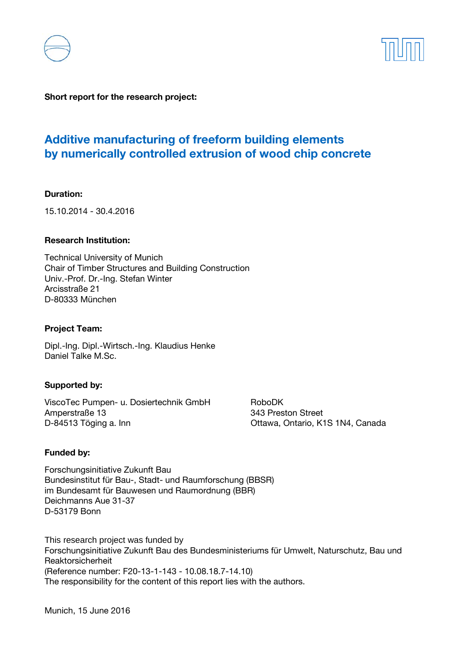



**Short report for the research project:** 

# **Additive manufacturing of freeform building elements by numerically controlled extrusion of wood chip concrete**

#### **Duration:**

15.10.2014 - 30.4.2016

#### **Research Institution:**

Technical University of Munich Chair of Timber Structures and Building Construction Univ.-Prof. Dr.-Ing. Stefan Winter Arcisstraße 21 D-80333 München

#### **Project Team:**

Dipl.-Ing. Dipl.-Wirtsch.-Ing. Klaudius Henke Daniel Talke M.Sc.

#### **Supported by:**

ViscoTec Pumpen- u. Dosiertechnik GmbH RoboDK<br>Amperstraße 13 343 Pres D-84513 Töging a. Inn Ottawa, Ontario, K1S 1N4, Canada

343 Preston Street

#### **Funded by:**

Forschungsinitiative Zukunft Bau Bundesinstitut für Bau-, Stadt- und Raumforschung (BBSR) im Bundesamt für Bauwesen und Raumordnung (BBR) Deichmanns Aue 31-37 D-53179 Bonn

This research project was funded by Forschungsinitiative Zukunft Bau des Bundesministeriums für Umwelt, Naturschutz, Bau und Reaktorsicherheit (Reference number: F20-13-1-143 - 10.08.18.7-14.10) The responsibility for the content of this report lies with the authors.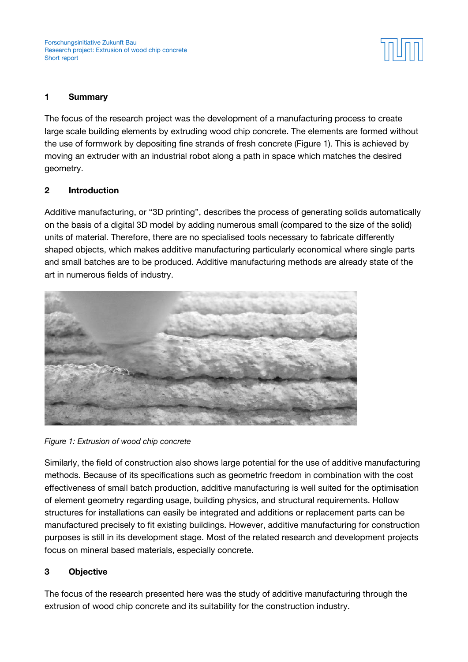

## **1 Summary**

The focus of the research project was the development of a manufacturing process to create large scale building elements by extruding wood chip concrete. The elements are formed without the use of formwork by depositing fine strands of fresh concrete (Figure 1). This is achieved by moving an extruder with an industrial robot along a path in space which matches the desired geometry.

### **2 Introduction**

Additive manufacturing, or "3D printing", describes the process of generating solids automatically on the basis of a digital 3D model by adding numerous small (compared to the size of the solid) units of material. Therefore, there are no specialised tools necessary to fabricate differently shaped objects, which makes additive manufacturing particularly economical where single parts and small batches are to be produced. Additive manufacturing methods are already state of the art in numerous fields of industry.



*Figure 1: Extrusion of wood chip concrete* 

Similarly, the field of construction also shows large potential for the use of additive manufacturing methods. Because of its specifications such as geometric freedom in combination with the cost effectiveness of small batch production, additive manufacturing is well suited for the optimisation of element geometry regarding usage, building physics, and structural requirements. Hollow structures for installations can easily be integrated and additions or replacement parts can be manufactured precisely to fit existing buildings. However, additive manufacturing for construction purposes is still in its development stage. Most of the related research and development projects focus on mineral based materials, especially concrete.

## **3 Objective**

The focus of the research presented here was the study of additive manufacturing through the extrusion of wood chip concrete and its suitability for the construction industry.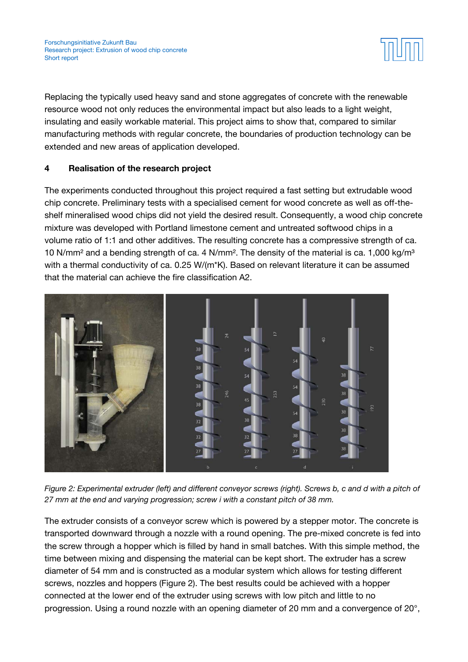

Replacing the typically used heavy sand and stone aggregates of concrete with the renewable resource wood not only reduces the environmental impact but also leads to a light weight, insulating and easily workable material. This project aims to show that, compared to similar manufacturing methods with regular concrete, the boundaries of production technology can be extended and new areas of application developed.

# **4 Realisation of the research project**

The experiments conducted throughout this project required a fast setting but extrudable wood chip concrete. Preliminary tests with a specialised cement for wood concrete as well as off-theshelf mineralised wood chips did not yield the desired result. Consequently, a wood chip concrete mixture was developed with Portland limestone cement and untreated softwood chips in a volume ratio of 1:1 and other additives. The resulting concrete has a compressive strength of ca. 10 N/mm<sup>2</sup> and a bending strength of ca. 4 N/mm<sup>2</sup>. The density of the material is ca. 1,000 kg/m<sup>3</sup> with a thermal conductivity of ca. 0.25 W/(m\*K). Based on relevant literature it can be assumed that the material can achieve the fire classification A2.



*Figure 2: Experimental extruder (left) and different conveyor screws (right). Screws b, c and d with a pitch of 27 mm at the end and varying progression; screw i with a constant pitch of 38 mm.* 

The extruder consists of a conveyor screw which is powered by a stepper motor. The concrete is transported downward through a nozzle with a round opening. The pre-mixed concrete is fed into the screw through a hopper which is filled by hand in small batches. With this simple method, the time between mixing and dispensing the material can be kept short. The extruder has a screw diameter of 54 mm and is constructed as a modular system which allows for testing different screws, nozzles and hoppers (Figure 2). The best results could be achieved with a hopper connected at the lower end of the extruder using screws with low pitch and little to no progression. Using a round nozzle with an opening diameter of 20 mm and a convergence of 20°,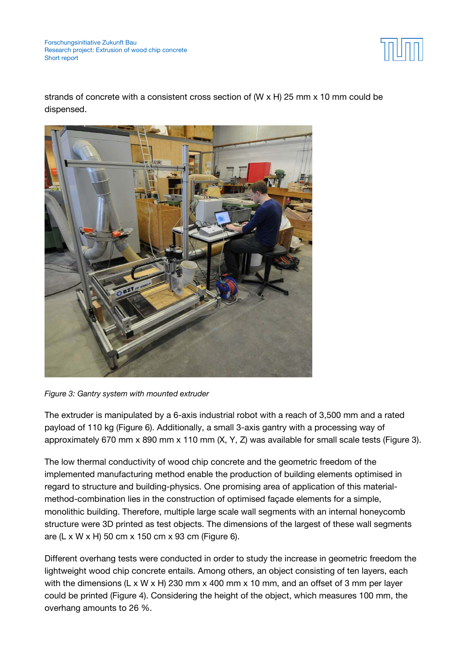Forschungsinitiative Zukunft Bau Research project: Extrusion of wood chip concrete Short report



strands of concrete with a consistent cross section of (W  $\times$  H) 25 mm  $\times$  10 mm could be dispensed.



*Figure 3: Gantry system with mounted extruder* 

The extruder is manipulated by a 6-axis industrial robot with a reach of 3,500 mm and a rated payload of 110 kg (Figure 6). Additionally, a small 3-axis gantry with a processing way of approximately 670 mm x 890 mm x 110 mm (X, Y, Z) was available for small scale tests (Figure 3).

The low thermal conductivity of wood chip concrete and the geometric freedom of the implemented manufacturing method enable the production of building elements optimised in regard to structure and building-physics. One promising area of application of this materialmethod-combination lies in the construction of optimised façade elements for a simple, monolithic building. Therefore, multiple large scale wall segments with an internal honeycomb structure were 3D printed as test objects. The dimensions of the largest of these wall segments are (L x W x H) 50 cm x 150 cm x 93 cm (Figure 6).

Different overhang tests were conducted in order to study the increase in geometric freedom the lightweight wood chip concrete entails. Among others, an object consisting of ten layers, each with the dimensions (L x W x H) 230 mm x 400 mm x 10 mm, and an offset of 3 mm per layer could be printed (Figure 4). Considering the height of the object, which measures 100 mm, the overhang amounts to 26 %.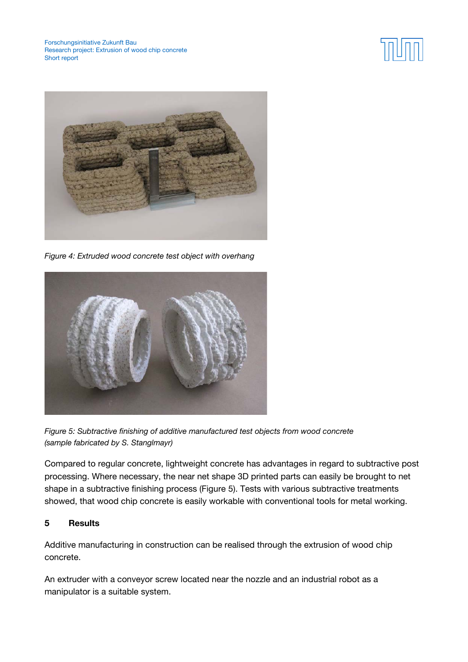



*Figure 4: Extruded wood concrete test object with overhang* 



*Figure 5: Subtractive finishing of additive manufactured test objects from wood concrete (sample fabricated by S. Stanglmayr)* 

Compared to regular concrete, lightweight concrete has advantages in regard to subtractive post processing. Where necessary, the near net shape 3D printed parts can easily be brought to net shape in a subtractive finishing process (Figure 5). Tests with various subtractive treatments showed, that wood chip concrete is easily workable with conventional tools for metal working.

## **5 Results**

Additive manufacturing in construction can be realised through the extrusion of wood chip concrete.

An extruder with a conveyor screw located near the nozzle and an industrial robot as a manipulator is a suitable system.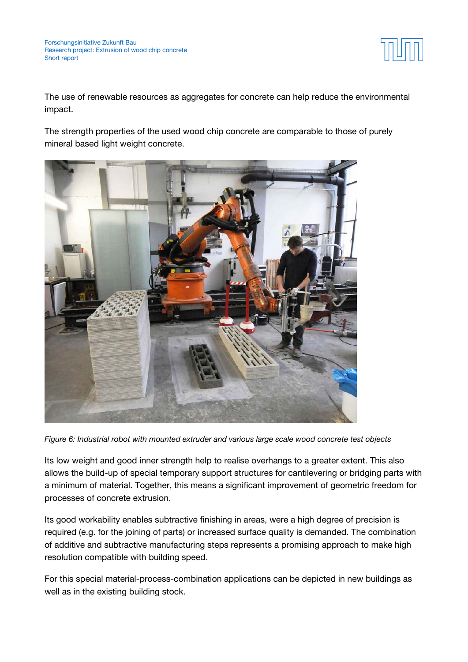

The use of renewable resources as aggregates for concrete can help reduce the environmental impact.

The strength properties of the used wood chip concrete are comparable to those of purely mineral based light weight concrete.



*Figure 6: Industrial robot with mounted extruder and various large scale wood concrete test objects* 

Its low weight and good inner strength help to realise overhangs to a greater extent. This also allows the build-up of special temporary support structures for cantilevering or bridging parts with a minimum of material. Together, this means a significant improvement of geometric freedom for processes of concrete extrusion.

Its good workability enables subtractive finishing in areas, were a high degree of precision is required (e.g. for the joining of parts) or increased surface quality is demanded. The combination of additive and subtractive manufacturing steps represents a promising approach to make high resolution compatible with building speed.

For this special material-process-combination applications can be depicted in new buildings as well as in the existing building stock.